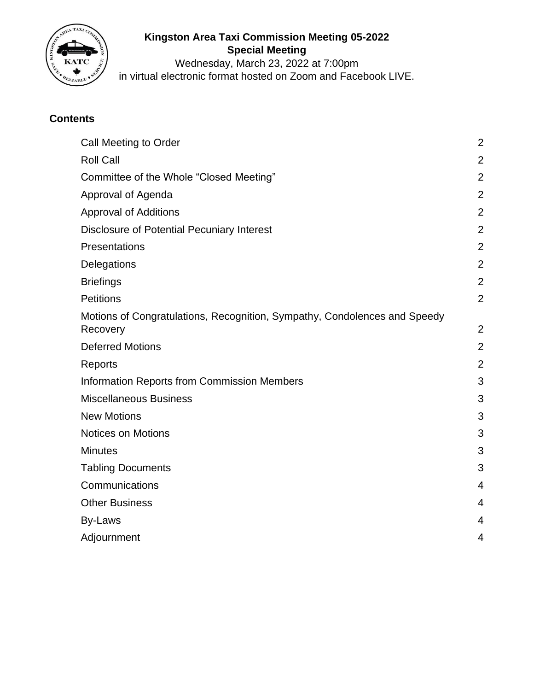

# **Kingston Area Taxi Commission Meeting 05-2022 Special Meeting**

Wednesday, March 23, 2022 at 7:00pm in virtual electronic format hosted on Zoom and Facebook LIVE.

# **Contents**

| <b>Call Meeting to Order</b>                                                          | $\overline{2}$ |
|---------------------------------------------------------------------------------------|----------------|
| <b>Roll Call</b>                                                                      | $\overline{2}$ |
| Committee of the Whole "Closed Meeting"                                               | $\overline{2}$ |
| Approval of Agenda                                                                    | $\overline{2}$ |
| <b>Approval of Additions</b>                                                          | $\overline{2}$ |
| <b>Disclosure of Potential Pecuniary Interest</b>                                     | $\overline{2}$ |
| Presentations                                                                         | $\overline{2}$ |
| Delegations                                                                           | $\overline{2}$ |
| <b>Briefings</b>                                                                      | $\overline{2}$ |
| <b>Petitions</b>                                                                      | $\overline{2}$ |
| Motions of Congratulations, Recognition, Sympathy, Condolences and Speedy<br>Recovery | $\overline{2}$ |
| <b>Deferred Motions</b>                                                               | $\overline{2}$ |
| Reports                                                                               | $\overline{2}$ |
| <b>Information Reports from Commission Members</b>                                    | 3              |
| <b>Miscellaneous Business</b>                                                         | 3              |
| <b>New Motions</b>                                                                    | 3              |
| <b>Notices on Motions</b>                                                             | 3              |
| <b>Minutes</b>                                                                        | 3              |
| <b>Tabling Documents</b>                                                              | 3              |
| Communications                                                                        | 4              |
| <b>Other Business</b>                                                                 | 4              |
| By-Laws                                                                               | 4              |
| Adjournment                                                                           | 4              |
|                                                                                       |                |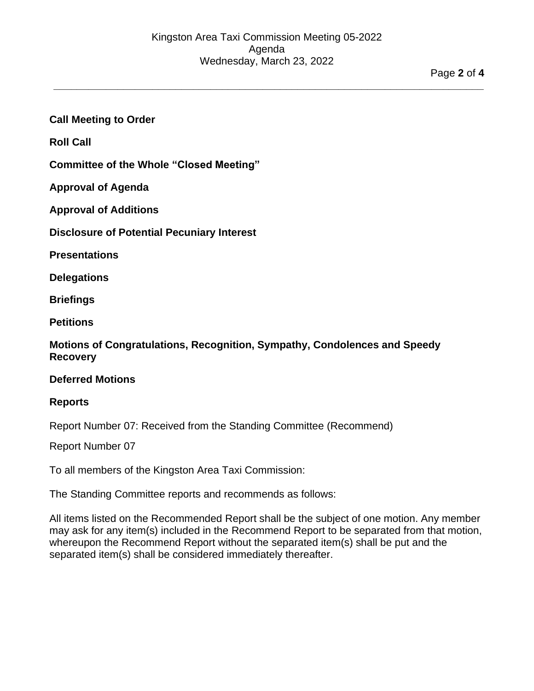**\_\_\_\_\_\_\_\_\_\_\_\_\_\_\_\_\_\_\_\_\_\_\_\_\_\_\_\_\_\_\_\_\_\_\_\_\_\_\_\_\_\_\_\_\_\_\_\_\_\_\_\_\_\_\_\_\_\_\_\_\_\_\_\_\_\_\_\_\_\_\_\_\_\_**

## <span id="page-1-0"></span>**Call Meeting to Order**

<span id="page-1-1"></span>**Roll Call**

<span id="page-1-2"></span>**Committee of the Whole "Closed Meeting"**

<span id="page-1-3"></span>**Approval of Agenda**

<span id="page-1-4"></span>**Approval of Additions**

<span id="page-1-5"></span>**Disclosure of Potential Pecuniary Interest**

<span id="page-1-7"></span><span id="page-1-6"></span>**Presentations**

<span id="page-1-8"></span>**Delegations**

**Briefings**

<span id="page-1-9"></span>**Petitions**

<span id="page-1-10"></span>**Motions of Congratulations, Recognition, Sympathy, Condolences and Speedy Recovery**

### <span id="page-1-12"></span><span id="page-1-11"></span>**Deferred Motions**

#### **Reports**

Report Number 07: Received from the Standing Committee (Recommend)

Report Number 07

To all members of the Kingston Area Taxi Commission:

The Standing Committee reports and recommends as follows:

All items listed on the Recommended Report shall be the subject of one motion. Any member may ask for any item(s) included in the Recommend Report to be separated from that motion, whereupon the Recommend Report without the separated item(s) shall be put and the separated item(s) shall be considered immediately thereafter.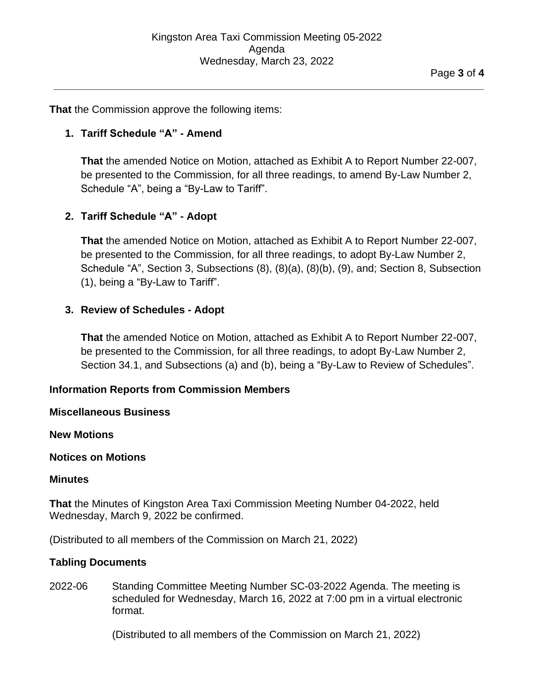**\_\_\_\_\_\_\_\_\_\_\_\_\_\_\_\_\_\_\_\_\_\_\_\_\_\_\_\_\_\_\_\_\_\_\_\_\_\_\_\_\_\_\_\_\_\_\_\_\_\_\_\_\_\_\_\_\_\_\_\_\_\_\_\_\_\_\_\_\_\_\_\_\_\_**

**That** the Commission approve the following items:

# **1. Tariff Schedule "A" - Amend**

**That** the amended Notice on Motion, attached as Exhibit A to Report Number 22-007, be presented to the Commission, for all three readings, to amend By-Law Number 2, Schedule "A", being a "By-Law to Tariff".

## **2. Tariff Schedule "A" - Adopt**

**That** the amended Notice on Motion, attached as Exhibit A to Report Number 22-007, be presented to the Commission, for all three readings, to adopt By-Law Number 2, Schedule "A", Section 3, Subsections (8), (8)(a), (8)(b), (9), and; Section 8, Subsection (1), being a "By-Law to Tariff".

## **3. Review of Schedules - Adopt**

**That** the amended Notice on Motion, attached as Exhibit A to Report Number 22-007, be presented to the Commission, for all three readings, to adopt By-Law Number 2, Section 34.1, and Subsections (a) and (b), being a "By-Law to Review of Schedules".

## <span id="page-2-0"></span>**Information Reports from Commission Members**

## <span id="page-2-2"></span><span id="page-2-1"></span>**Miscellaneous Business**

<span id="page-2-3"></span>**New Motions**

## **Notices on Motions**

#### <span id="page-2-4"></span>**Minutes**

**That** the Minutes of Kingston Area Taxi Commission Meeting Number 04-2022, held Wednesday, March 9, 2022 be confirmed.

(Distributed to all members of the Commission on March 21, 2022)

## <span id="page-2-5"></span>**Tabling Documents**

2022-06 Standing Committee Meeting Number SC-03-2022 Agenda. The meeting is scheduled for Wednesday, March 16, 2022 at 7:00 pm in a virtual electronic format.

(Distributed to all members of the Commission on March 21, 2022)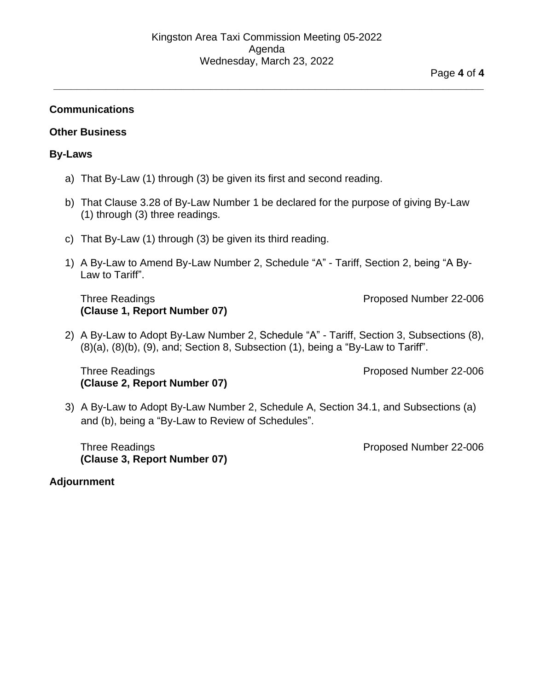**\_\_\_\_\_\_\_\_\_\_\_\_\_\_\_\_\_\_\_\_\_\_\_\_\_\_\_\_\_\_\_\_\_\_\_\_\_\_\_\_\_\_\_\_\_\_\_\_\_\_\_\_\_\_\_\_\_\_\_\_\_\_\_\_\_\_\_\_\_\_\_\_\_\_**

### <span id="page-3-0"></span>**Communications**

#### <span id="page-3-2"></span><span id="page-3-1"></span>**Other Business**

#### **By-Laws**

- a) That By-Law (1) through (3) be given its first and second reading.
- b) That Clause 3.28 of By-Law Number 1 be declared for the purpose of giving By-Law (1) through (3) three readings.
- c) That By-Law (1) through (3) be given its third reading.
- 1) A By-Law to Amend By-Law Number 2, Schedule "A" Tariff, Section 2, being "A By-Law to Tariff".

### Three Readings **Proposed Number 22-006 (Clause 1, Report Number 07)**

2) A By-Law to Adopt By-Law Number 2, Schedule "A" - Tariff, Section 3, Subsections (8), (8)(a), (8)(b), (9), and; Section 8, Subsection (1), being a "By-Law to Tariff".

Three Readings **Proposed Number 22-006 (Clause 2, Report Number 07)**

3) A By-Law to Adopt By-Law Number 2, Schedule A, Section 34.1, and Subsections (a) and (b), being a "By-Law to Review of Schedules".

Three Readings **Proposed Number 22-006 (Clause 3, Report Number 07)**

#### <span id="page-3-3"></span>**Adjournment**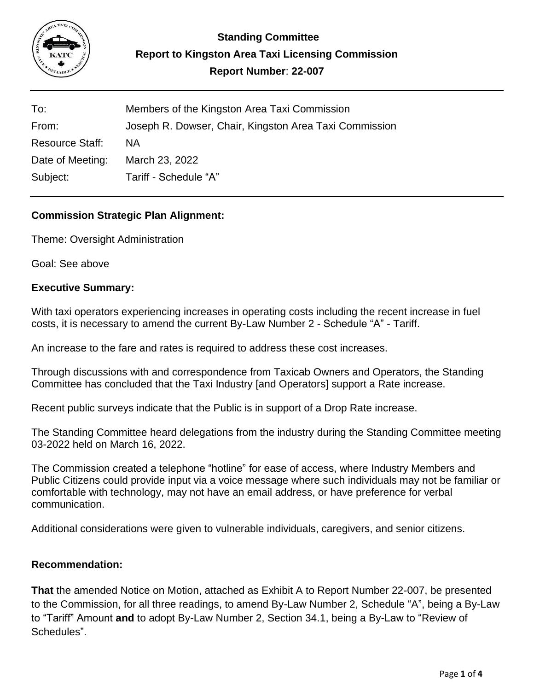

| To:                    | Members of the Kingston Area Taxi Commission           |
|------------------------|--------------------------------------------------------|
| From:                  | Joseph R. Dowser, Chair, Kingston Area Taxi Commission |
| <b>Resource Staff:</b> | ΝA                                                     |
| Date of Meeting:       | March 23, 2022                                         |
| Subject:               | Tariff - Schedule "A"                                  |

# **Commission Strategic Plan Alignment:**

Theme: Oversight Administration

Goal: See above

## **Executive Summary:**

With taxi operators experiencing increases in operating costs including the recent increase in fuel costs, it is necessary to amend the current By-Law Number 2 - Schedule "A" - Tariff.

An increase to the fare and rates is required to address these cost increases.

Through discussions with and correspondence from Taxicab Owners and Operators, the Standing Committee has concluded that the Taxi Industry [and Operators] support a Rate increase.

Recent public surveys indicate that the Public is in support of a Drop Rate increase.

The Standing Committee heard delegations from the industry during the Standing Committee meeting 03-2022 held on March 16, 2022.

The Commission created a telephone "hotline" for ease of access, where Industry Members and Public Citizens could provide input via a voice message where such individuals may not be familiar or comfortable with technology, may not have an email address, or have preference for verbal communication.

Additional considerations were given to vulnerable individuals, caregivers, and senior citizens.

## **Recommendation:**

**That** the amended Notice on Motion, attached as Exhibit A to Report Number 22-007, be presented to the Commission, for all three readings, to amend By-Law Number 2, Schedule "A", being a By-Law to "Tariff" Amount **and** to adopt By-Law Number 2, Section 34.1, being a By-Law to "Review of Schedules".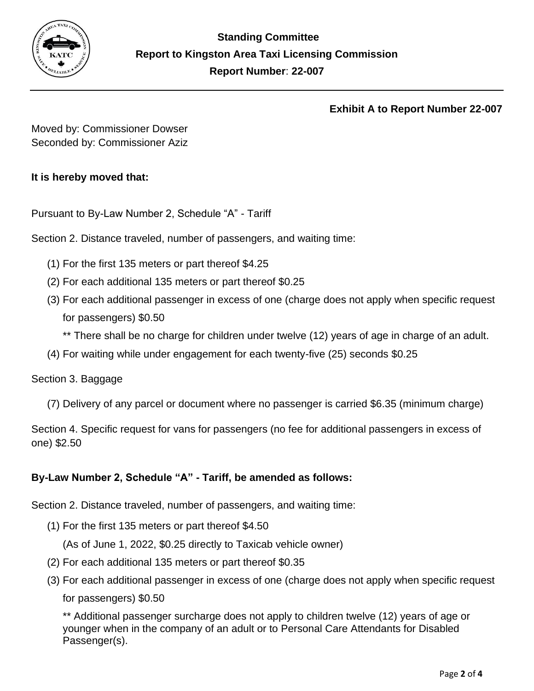

## **Exhibit A to Report Number 22-007**

Moved by: Commissioner Dowser Seconded by: Commissioner Aziz

# **It is hereby moved that:**

Pursuant to By-Law Number 2, Schedule "A" - Tariff

Section 2. Distance traveled, number of passengers, and waiting time:

- (1) For the first 135 meters or part thereof \$4.25
- (2) For each additional 135 meters or part thereof \$0.25
- (3) For each additional passenger in excess of one (charge does not apply when specific request for passengers) \$0.50
	- \*\* There shall be no charge for children under twelve (12) years of age in charge of an adult.
- (4) For waiting while under engagement for each twenty-five (25) seconds \$0.25

## Section 3. Baggage

(7) Delivery of any parcel or document where no passenger is carried \$6.35 (minimum charge)

Section 4. Specific request for vans for passengers (no fee for additional passengers in excess of one) \$2.50

# **By-Law Number 2, Schedule "A" - Tariff, be amended as follows:**

Section 2. Distance traveled, number of passengers, and waiting time:

(1) For the first 135 meters or part thereof \$4.50

(As of June 1, 2022, \$0.25 directly to Taxicab vehicle owner)

- (2) For each additional 135 meters or part thereof \$0.35
- (3) For each additional passenger in excess of one (charge does not apply when specific request for passengers) \$0.50

\*\* Additional passenger surcharge does not apply to children twelve (12) years of age or younger when in the company of an adult or to Personal Care Attendants for Disabled Passenger(s).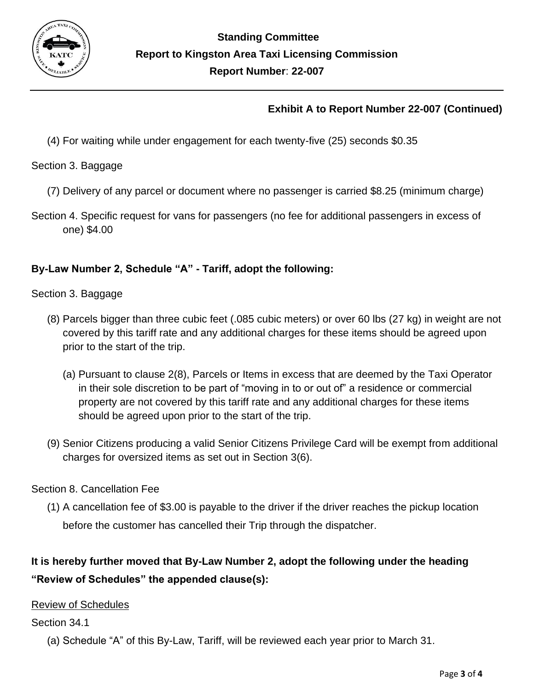

# **Exhibit A to Report Number 22-007 (Continued)**

(4) For waiting while under engagement for each twenty-five (25) seconds \$0.35

Section 3. Baggage

- (7) Delivery of any parcel or document where no passenger is carried \$8.25 (minimum charge)
- Section 4. Specific request for vans for passengers (no fee for additional passengers in excess of one) \$4.00

# **By-Law Number 2, Schedule "A" - Tariff, adopt the following:**

Section 3. Baggage

- (8) Parcels bigger than three cubic feet (.085 cubic meters) or over 60 lbs (27 kg) in weight are not covered by this tariff rate and any additional charges for these items should be agreed upon prior to the start of the trip.
	- (a) Pursuant to clause 2(8), Parcels or Items in excess that are deemed by the Taxi Operator in their sole discretion to be part of "moving in to or out of" a residence or commercial property are not covered by this tariff rate and any additional charges for these items should be agreed upon prior to the start of the trip.
- (9) Senior Citizens producing a valid Senior Citizens Privilege Card will be exempt from additional charges for oversized items as set out in Section 3(6).

# Section 8. Cancellation Fee

(1) A cancellation fee of \$3.00 is payable to the driver if the driver reaches the pickup location before the customer has cancelled their Trip through the dispatcher.

# **It is hereby further moved that By-Law Number 2, adopt the following under the heading "Review of Schedules" the appended clause(s):**

# **Review of Schedules**

# Section 34.1

(a) Schedule "A" of this By-Law, Tariff, will be reviewed each year prior to March 31.